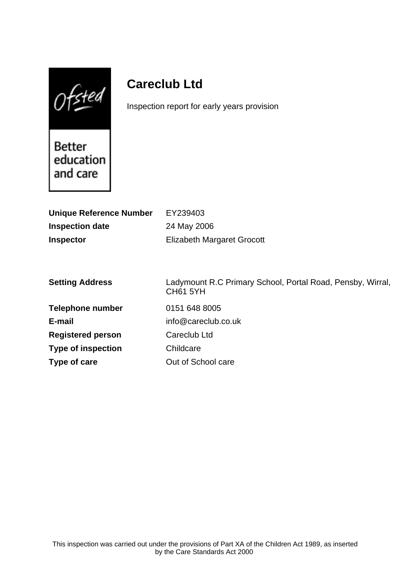$0$ fsted

# **Careclub Ltd**

Inspection report for early years provision

**Better** education and care

| <b>Unique Reference Number</b> | EY239403                                                                      |
|--------------------------------|-------------------------------------------------------------------------------|
| <b>Inspection date</b>         | 24 May 2006                                                                   |
| <b>Inspector</b>               | Elizabeth Margaret Grocott                                                    |
|                                |                                                                               |
|                                |                                                                               |
| <b>Setting Address</b>         | Ladymount R.C Primary School, Portal Road, Pensby, Wirral,<br><b>CH61 5YH</b> |
| <b>Telephone number</b>        | 0151 648 8005                                                                 |
| E-mail                         | info@careclub.co.uk                                                           |
| <b>Registered person</b>       | Careclub Ltd                                                                  |
| <b>Type of inspection</b>      | Childcare                                                                     |
| Type of care                   | Out of School care                                                            |
|                                |                                                                               |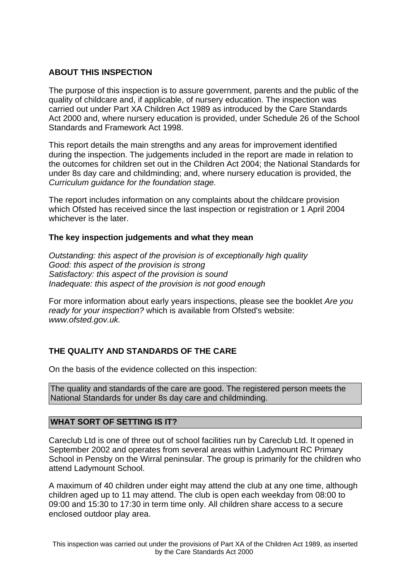# **ABOUT THIS INSPECTION**

The purpose of this inspection is to assure government, parents and the public of the quality of childcare and, if applicable, of nursery education. The inspection was carried out under Part XA Children Act 1989 as introduced by the Care Standards Act 2000 and, where nursery education is provided, under Schedule 26 of the School Standards and Framework Act 1998.

This report details the main strengths and any areas for improvement identified during the inspection. The judgements included in the report are made in relation to the outcomes for children set out in the Children Act 2004; the National Standards for under 8s day care and childminding; and, where nursery education is provided, the Curriculum guidance for the foundation stage.

The report includes information on any complaints about the childcare provision which Ofsted has received since the last inspection or registration or 1 April 2004 whichever is the later.

## **The key inspection judgements and what they mean**

Outstanding: this aspect of the provision is of exceptionally high quality Good: this aspect of the provision is strong Satisfactory: this aspect of the provision is sound Inadequate: this aspect of the provision is not good enough

For more information about early years inspections, please see the booklet Are you ready for your inspection? which is available from Ofsted's website: www.ofsted.gov.uk.

# **THE QUALITY AND STANDARDS OF THE CARE**

On the basis of the evidence collected on this inspection:

The quality and standards of the care are good. The registered person meets the National Standards for under 8s day care and childminding.

## **WHAT SORT OF SETTING IS IT?**

Careclub Ltd is one of three out of school facilities run by Careclub Ltd. It opened in September 2002 and operates from several areas within Ladymount RC Primary School in Pensby on the Wirral peninsular. The group is primarily for the children who attend Ladymount School.

A maximum of 40 children under eight may attend the club at any one time, although children aged up to 11 may attend. The club is open each weekday from 08:00 to 09:00 and 15:30 to 17:30 in term time only. All children share access to a secure enclosed outdoor play area.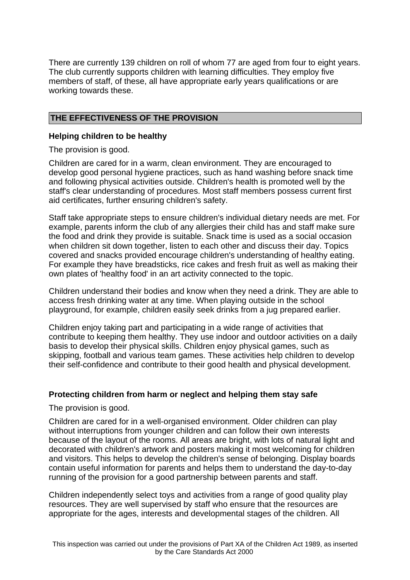There are currently 139 children on roll of whom 77 are aged from four to eight years. The club currently supports children with learning difficulties. They employ five members of staff, of these, all have appropriate early years qualifications or are working towards these.

# **THE EFFECTIVENESS OF THE PROVISION**

## **Helping children to be healthy**

The provision is good.

Children are cared for in a warm, clean environment. They are encouraged to develop good personal hygiene practices, such as hand washing before snack time and following physical activities outside. Children's health is promoted well by the staff's clear understanding of procedures. Most staff members possess current first aid certificates, further ensuring children's safety.

Staff take appropriate steps to ensure children's individual dietary needs are met. For example, parents inform the club of any allergies their child has and staff make sure the food and drink they provide is suitable. Snack time is used as a social occasion when children sit down together, listen to each other and discuss their day. Topics covered and snacks provided encourage children's understanding of healthy eating. For example they have breadsticks, rice cakes and fresh fruit as well as making their own plates of 'healthy food' in an art activity connected to the topic.

Children understand their bodies and know when they need a drink. They are able to access fresh drinking water at any time. When playing outside in the school playground, for example, children easily seek drinks from a jug prepared earlier.

Children enjoy taking part and participating in a wide range of activities that contribute to keeping them healthy. They use indoor and outdoor activities on a daily basis to develop their physical skills. Children enjoy physical games, such as skipping, football and various team games. These activities help children to develop their self-confidence and contribute to their good health and physical development.

## **Protecting children from harm or neglect and helping them stay safe**

The provision is good.

Children are cared for in a well-organised environment. Older children can play without interruptions from younger children and can follow their own interests because of the layout of the rooms. All areas are bright, with lots of natural light and decorated with children's artwork and posters making it most welcoming for children and visitors. This helps to develop the children's sense of belonging. Display boards contain useful information for parents and helps them to understand the day-to-day running of the provision for a good partnership between parents and staff.

Children independently select toys and activities from a range of good quality play resources. They are well supervised by staff who ensure that the resources are appropriate for the ages, interests and developmental stages of the children. All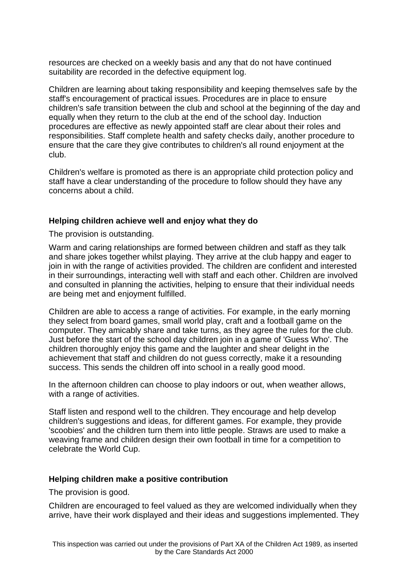resources are checked on a weekly basis and any that do not have continued suitability are recorded in the defective equipment log.

Children are learning about taking responsibility and keeping themselves safe by the staff's encouragement of practical issues. Procedures are in place to ensure children's safe transition between the club and school at the beginning of the day and equally when they return to the club at the end of the school day. Induction procedures are effective as newly appointed staff are clear about their roles and responsibilities. Staff complete health and safety checks daily, another procedure to ensure that the care they give contributes to children's all round enjoyment at the club.

Children's welfare is promoted as there is an appropriate child protection policy and staff have a clear understanding of the procedure to follow should they have any concerns about a child.

## **Helping children achieve well and enjoy what they do**

The provision is outstanding.

Warm and caring relationships are formed between children and staff as they talk and share jokes together whilst playing. They arrive at the club happy and eager to join in with the range of activities provided. The children are confident and interested in their surroundings, interacting well with staff and each other. Children are involved and consulted in planning the activities, helping to ensure that their individual needs are being met and enjoyment fulfilled.

Children are able to access a range of activities. For example, in the early morning they select from board games, small world play, craft and a football game on the computer. They amicably share and take turns, as they agree the rules for the club. Just before the start of the school day children join in a game of 'Guess Who'. The children thoroughly enjoy this game and the laughter and shear delight in the achievement that staff and children do not guess correctly, make it a resounding success. This sends the children off into school in a really good mood.

In the afternoon children can choose to play indoors or out, when weather allows, with a range of activities.

Staff listen and respond well to the children. They encourage and help develop children's suggestions and ideas, for different games. For example, they provide 'scoobies' and the children turn them into little people. Straws are used to make a weaving frame and children design their own football in time for a competition to celebrate the World Cup.

## **Helping children make a positive contribution**

The provision is good.

Children are encouraged to feel valued as they are welcomed individually when they arrive, have their work displayed and their ideas and suggestions implemented. They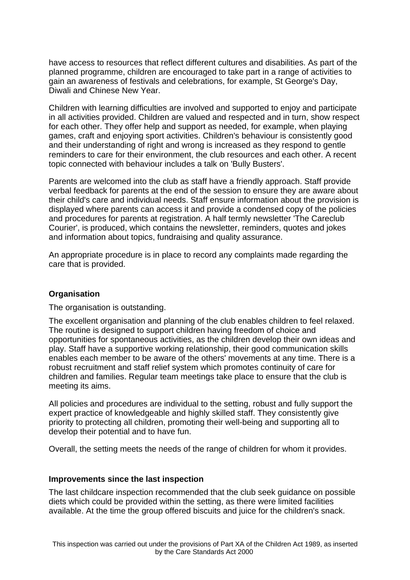have access to resources that reflect different cultures and disabilities. As part of the planned programme, children are encouraged to take part in a range of activities to gain an awareness of festivals and celebrations, for example, St George's Day, Diwali and Chinese New Year.

Children with learning difficulties are involved and supported to enjoy and participate in all activities provided. Children are valued and respected and in turn, show respect for each other. They offer help and support as needed, for example, when playing games, craft and enjoying sport activities. Children's behaviour is consistently good and their understanding of right and wrong is increased as they respond to gentle reminders to care for their environment, the club resources and each other. A recent topic connected with behaviour includes a talk on 'Bully Busters'.

Parents are welcomed into the club as staff have a friendly approach. Staff provide verbal feedback for parents at the end of the session to ensure they are aware about their child's care and individual needs. Staff ensure information about the provision is displayed where parents can access it and provide a condensed copy of the policies and procedures for parents at registration. A half termly newsletter 'The Careclub Courier', is produced, which contains the newsletter, reminders, quotes and jokes and information about topics, fundraising and quality assurance.

An appropriate procedure is in place to record any complaints made regarding the care that is provided.

#### **Organisation**

The organisation is outstanding.

The excellent organisation and planning of the club enables children to feel relaxed. The routine is designed to support children having freedom of choice and opportunities for spontaneous activities, as the children develop their own ideas and play. Staff have a supportive working relationship, their good communication skills enables each member to be aware of the others' movements at any time. There is a robust recruitment and staff relief system which promotes continuity of care for children and families. Regular team meetings take place to ensure that the club is meeting its aims.

All policies and procedures are individual to the setting, robust and fully support the expert practice of knowledgeable and highly skilled staff. They consistently give priority to protecting all children, promoting their well-being and supporting all to develop their potential and to have fun.

Overall, the setting meets the needs of the range of children for whom it provides.

#### **Improvements since the last inspection**

The last childcare inspection recommended that the club seek guidance on possible diets which could be provided within the setting, as there were limited facilities available. At the time the group offered biscuits and juice for the children's snack.